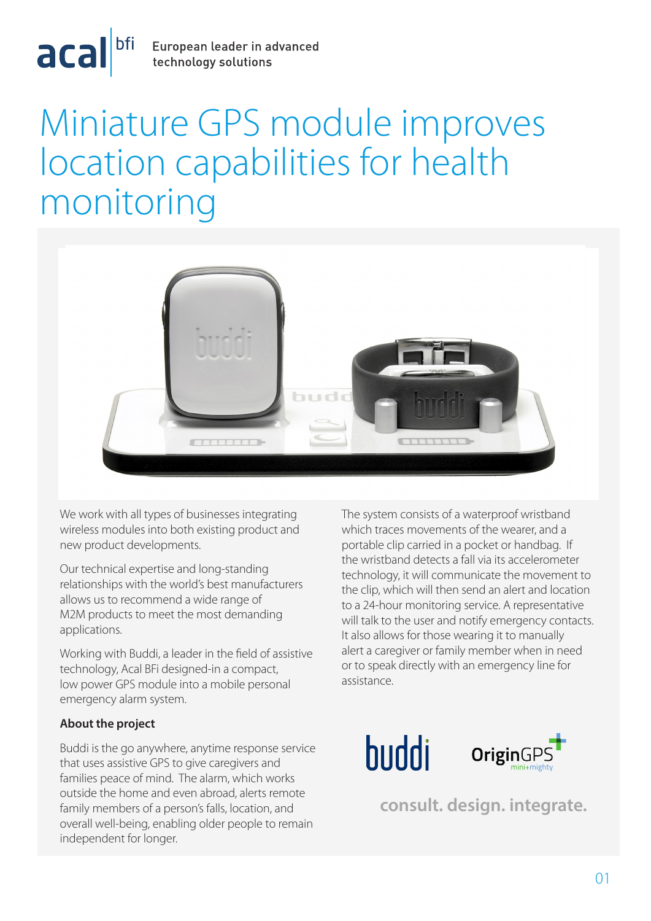

# Miniature GPS module improves location capabilities for health monitoring



We work with all types of businesses integrating wireless modules into both existing product and new product developments.

Our technical expertise and long-standing relationships with the world's best manufacturers allows us to recommend a wide range of M2M products to meet the most demanding applications.

Working with Buddi, a leader in the field of assistive technology, Acal BFi designed-in a compact, low power GPS module into a mobile personal emergency alarm system.

## **About the project**

Buddi is the go anywhere, anytime response service that uses assistive GPS to give caregivers and families peace of mind. The alarm, which works outside the home and even abroad, alerts remote family members of a person's falls, location, and overall well-being, enabling older people to remain independent for longer.

The system consists of a waterproof wristband which traces movements of the wearer, and a portable clip carried in a pocket or handbag. If the wristband detects a fall via its accelerometer technology, it will communicate the movement to the clip, which will then send an alert and location to a 24-hour monitoring service. A representative will talk to the user and notify emergency contacts. It also allows for those wearing it to manually alert a caregiver or family member when in need or to speak directly with an emergency line for assistance.



**consult. design. integrate.**